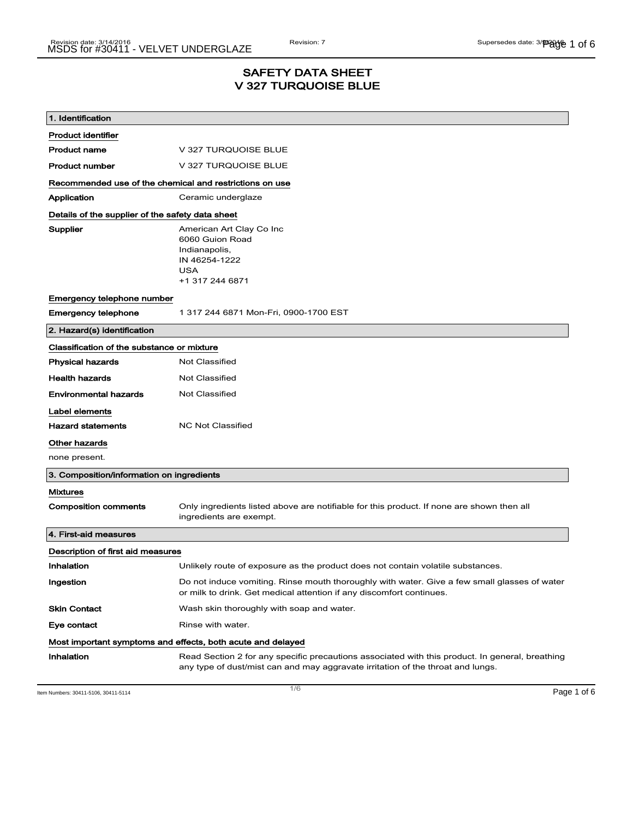### SAFETY DATA SHEET V 327 TURQUOISE BLUE

| 1. Identification                                           |                                                                                                                                                                                    |  |
|-------------------------------------------------------------|------------------------------------------------------------------------------------------------------------------------------------------------------------------------------------|--|
| <b>Product identifier</b>                                   |                                                                                                                                                                                    |  |
| <b>Product name</b>                                         | V 327 TURQUOISE BLUE                                                                                                                                                               |  |
| <b>Product number</b>                                       | V 327 TURQUOISE BLUE                                                                                                                                                               |  |
| Recommended use of the chemical and restrictions on use     |                                                                                                                                                                                    |  |
| Application                                                 | Ceramic underglaze                                                                                                                                                                 |  |
| Details of the supplier of the safety data sheet            |                                                                                                                                                                                    |  |
| Supplier                                                    | American Art Clay Co Inc<br>6060 Guion Road<br>Indianapolis,<br>IN 46254-1222<br><b>USA</b><br>+1 317 244 6871                                                                     |  |
| Emergency telephone number                                  |                                                                                                                                                                                    |  |
| <b>Emergency telephone</b>                                  | 1 317 244 6871 Mon-Fri, 0900-1700 EST                                                                                                                                              |  |
| 2. Hazard(s) identification                                 |                                                                                                                                                                                    |  |
| Classification of the substance or mixture                  |                                                                                                                                                                                    |  |
| <b>Physical hazards</b>                                     | <b>Not Classified</b>                                                                                                                                                              |  |
| <b>Health hazards</b>                                       | <b>Not Classified</b>                                                                                                                                                              |  |
| <b>Environmental hazards</b>                                | <b>Not Classified</b>                                                                                                                                                              |  |
| Label elements                                              |                                                                                                                                                                                    |  |
| <b>Hazard statements</b>                                    | <b>NC Not Classified</b>                                                                                                                                                           |  |
| Other hazards                                               |                                                                                                                                                                                    |  |
| none present.                                               |                                                                                                                                                                                    |  |
| 3. Composition/information on ingredients                   |                                                                                                                                                                                    |  |
| <b>Mixtures</b>                                             |                                                                                                                                                                                    |  |
| <b>Composition comments</b>                                 | Only ingredients listed above are notifiable for this product. If none are shown then all<br>ingredients are exempt.                                                               |  |
| 4. First-aid measures                                       |                                                                                                                                                                                    |  |
| Description of first aid measures                           |                                                                                                                                                                                    |  |
| Inhalation                                                  | Unlikely route of exposure as the product does not contain volatile substances.                                                                                                    |  |
| Ingestion                                                   | Do not induce vomiting. Rinse mouth thoroughly with water. Give a few small glasses of water<br>or milk to drink. Get medical attention if any discomfort continues.               |  |
| <b>Skin Contact</b>                                         | Wash skin thoroughly with soap and water.                                                                                                                                          |  |
| Eye contact                                                 | Rinse with water.                                                                                                                                                                  |  |
| Most important symptoms and effects, both acute and delayed |                                                                                                                                                                                    |  |
| Inhalation                                                  | Read Section 2 for any specific precautions associated with this product. In general, breathing<br>any type of dust/mist can and may aggravate irritation of the throat and lungs. |  |

Item Numbers: 30411-5106, 30411-5114 Page 1 of 6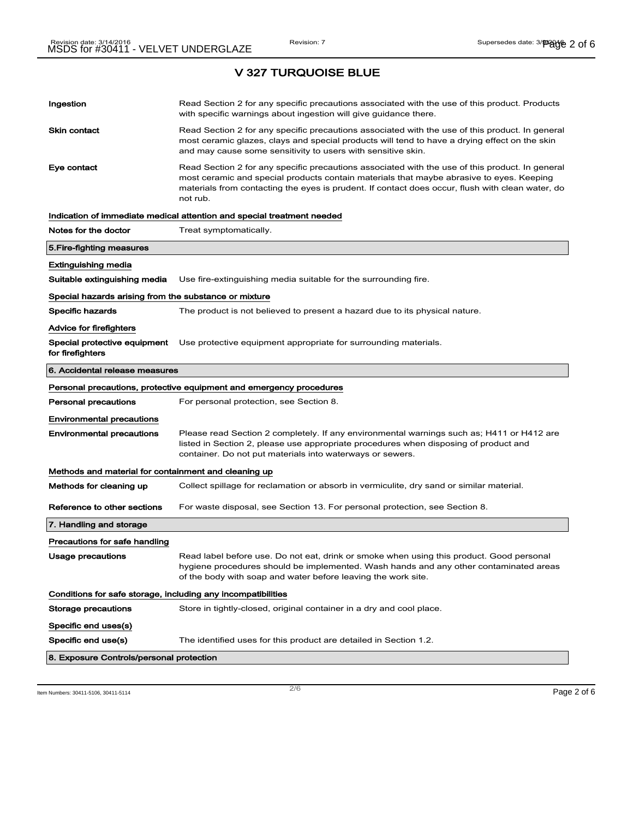| Ingestion                                                    | Read Section 2 for any specific precautions associated with the use of this product. Products<br>with specific warnings about ingestion will give guidance there.                                                                                                                                           |  |
|--------------------------------------------------------------|-------------------------------------------------------------------------------------------------------------------------------------------------------------------------------------------------------------------------------------------------------------------------------------------------------------|--|
| <b>Skin contact</b>                                          | Read Section 2 for any specific precautions associated with the use of this product. In general<br>most ceramic glazes, clays and special products will tend to have a drying effect on the skin<br>and may cause some sensitivity to users with sensitive skin.                                            |  |
| Eye contact                                                  | Read Section 2 for any specific precautions associated with the use of this product. In general<br>most ceramic and special products contain materials that maybe abrasive to eyes. Keeping<br>materials from contacting the eyes is prudent. If contact does occur, flush with clean water, do<br>not rub. |  |
|                                                              | Indication of immediate medical attention and special treatment needed                                                                                                                                                                                                                                      |  |
| Notes for the doctor                                         | Treat symptomatically.                                                                                                                                                                                                                                                                                      |  |
| 5.Fire-fighting measures                                     |                                                                                                                                                                                                                                                                                                             |  |
| Extinguishing media                                          |                                                                                                                                                                                                                                                                                                             |  |
| Suitable extinguishing media                                 | Use fire-extinguishing media suitable for the surrounding fire.                                                                                                                                                                                                                                             |  |
| Special hazards arising from the substance or mixture        |                                                                                                                                                                                                                                                                                                             |  |
| <b>Specific hazards</b>                                      | The product is not believed to present a hazard due to its physical nature.                                                                                                                                                                                                                                 |  |
| Advice for firefighters                                      |                                                                                                                                                                                                                                                                                                             |  |
| Special protective equipment<br>for firefighters             | Use protective equipment appropriate for surrounding materials.                                                                                                                                                                                                                                             |  |
| 6. Accidental release measures                               |                                                                                                                                                                                                                                                                                                             |  |
|                                                              | Personal precautions, protective equipment and emergency procedures                                                                                                                                                                                                                                         |  |
| Personal precautions                                         | For personal protection, see Section 8.                                                                                                                                                                                                                                                                     |  |
| <b>Environmental precautions</b>                             |                                                                                                                                                                                                                                                                                                             |  |
| <b>Environmental precautions</b>                             | Please read Section 2 completely. If any environmental warnings such as; H411 or H412 are<br>listed in Section 2, please use appropriate procedures when disposing of product and<br>container. Do not put materials into waterways or sewers.                                                              |  |
| Methods and material for containment and cleaning up         |                                                                                                                                                                                                                                                                                                             |  |
| Methods for cleaning up                                      | Collect spillage for reclamation or absorb in vermiculite, dry sand or similar material.                                                                                                                                                                                                                    |  |
| Reference to other sections                                  | For waste disposal, see Section 13. For personal protection, see Section 8.                                                                                                                                                                                                                                 |  |
| 7. Handling and storage                                      |                                                                                                                                                                                                                                                                                                             |  |
| Precautions for safe handling                                |                                                                                                                                                                                                                                                                                                             |  |
| Usage precautions                                            | Read label before use. Do not eat, drink or smoke when using this product. Good personal<br>hygiene procedures should be implemented. Wash hands and any other contaminated areas<br>of the body with soap and water before leaving the work site.                                                          |  |
| Conditions for safe storage, including any incompatibilities |                                                                                                                                                                                                                                                                                                             |  |
| <b>Storage precautions</b>                                   | Store in tightly-closed, original container in a dry and cool place.                                                                                                                                                                                                                                        |  |
| Specific end uses(s)                                         |                                                                                                                                                                                                                                                                                                             |  |
| Specific end use(s)                                          | The identified uses for this product are detailed in Section 1.2.                                                                                                                                                                                                                                           |  |
| 8. Exposure Controls/personal protection                     |                                                                                                                                                                                                                                                                                                             |  |

Item Numbers: 30411-5106, 30411-5114  $2/6$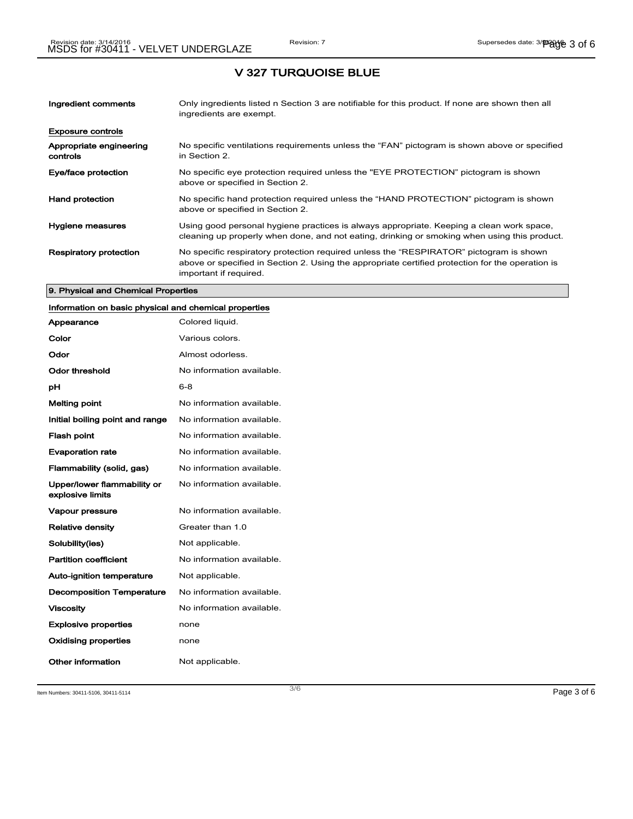| Ingredient comments                 | Only ingredients listed n Section 3 are notifiable for this product. If none are shown then all<br>ingredients are exempt.                                                                                           |
|-------------------------------------|----------------------------------------------------------------------------------------------------------------------------------------------------------------------------------------------------------------------|
| <b>Exposure controls</b>            |                                                                                                                                                                                                                      |
| Appropriate engineering<br>controls | No specific ventilations requirements unless the "FAN" pictogram is shown above or specified<br>in Section 2.                                                                                                        |
| Eye/face protection                 | No specific eye protection required unless the "EYE PROTECTION" pictogram is shown<br>above or specified in Section 2.                                                                                               |
| <b>Hand protection</b>              | No specific hand protection required unless the "HAND PROTECTION" pictogram is shown<br>above or specified in Section 2.                                                                                             |
| Hygiene measures                    | Using good personal hygiene practices is always appropriate. Keeping a clean work space,<br>cleaning up properly when done, and not eating, drinking or smoking when using this product.                             |
| <b>Respiratory protection</b>       | No specific respiratory protection required unless the "RESPIRATOR" pictogram is shown<br>above or specified in Section 2. Using the appropriate certified protection for the operation is<br>important if required. |

#### 9. Physical and Chemical Properties

# Information on basic physical and chemical properties

| Appearance                                      | Colored liquid.           |
|-------------------------------------------------|---------------------------|
| Color                                           | Various colors.           |
| Odor                                            | Almost odorless.          |
| Odor threshold                                  | No information available. |
| рH                                              | 6-8                       |
| Melting point                                   | No information available. |
| Initial boiling point and range                 | No information available. |
| <b>Flash point</b>                              | No information available. |
| <b>Evaporation rate</b>                         | No information available. |
| Flammability (solid, gas)                       | No information available. |
| Upper/lower flammability or<br>explosive limits | No information available. |
| <b>Vapour pressure</b>                          | No information available. |
| <b>Relative density</b>                         | Greater than 1.0          |
| Solubility(ies)                                 | Not applicable.           |
| <b>Partition coefficient</b>                    | No information available. |
| <b>Auto-ignition temperature</b>                | Not applicable.           |
| <b>Decomposition Temperature</b>                | No information available. |
| <b>Viscosity</b>                                | No information available. |
| <b>Explosive properties</b>                     | none                      |
| Oxidising properties                            | none                      |
| Other information                               | Not applicable.           |

Item Numbers: 30411-5106, 30411-5114 Page 3 of 6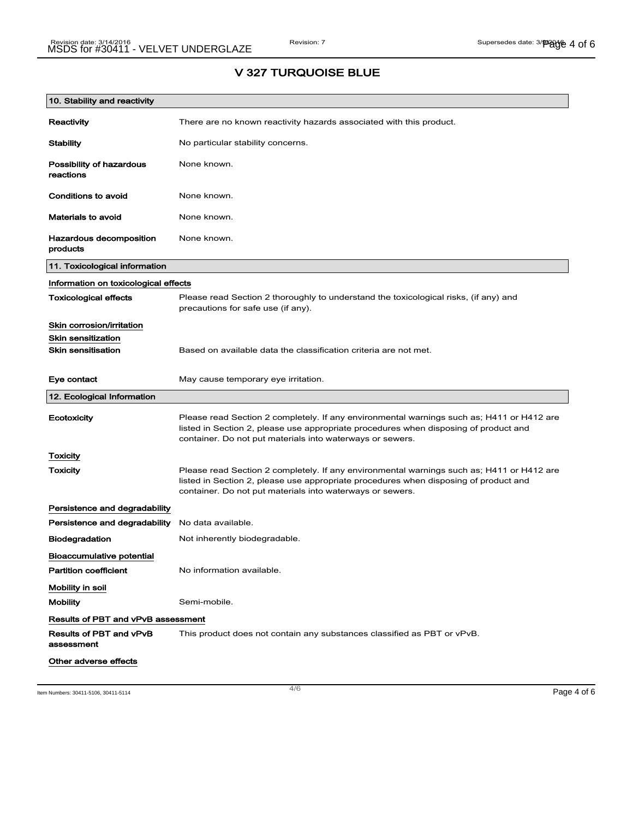# 10. Stability and reactivity Reactivity There are no known reactivity hazards associated with this product. Stability Mo particular stability concerns. Possibility of hazardous reactions None known. Conditions to avoid None known. Materials to avoid None known. Hazardous decomposition products None known. 11. Toxicological information Information on toxicological effects Toxicological effects Please read Section 2 thoroughly to understand the toxicological risks, (if any) and precautions for safe use (if any). Skin corrosion/irritation Skin sensitization **Skin sensitisation** Based on available data the classification criteria are not met. Eye contact May cause temporary eye irritation. 12. Ecological Information Ecotoxicity Please read Section 2 completely. If any environmental warnings such as; H411 or H412 are listed in Section 2, please use appropriate procedures when disposing of product and container. Do not put materials into waterways or sewers. **Toxicity** Toxicity **Please read Section 2 completely. If any environmental warnings such as; H411 or H412 are** listed in Section 2, please use appropriate procedures when disposing of product and container. Do not put materials into waterways or sewers. Persistence and degradability Persistence and degradability No data available. Biodegradation Not inherently biodegradable. Bioaccumulative potential Partition coefficient No information available. Mobility in soil Mobility **Semi-mobile.** Results of PBT and vPvB assessment Results of PBT and vPvB assessment This product does not contain any substances classified as PBT or vPvB. Other adverse effects

## V 327 TURQUOISE BLUE

Item Numbers: 30411-5106, 30411-5114 Page 4 of 6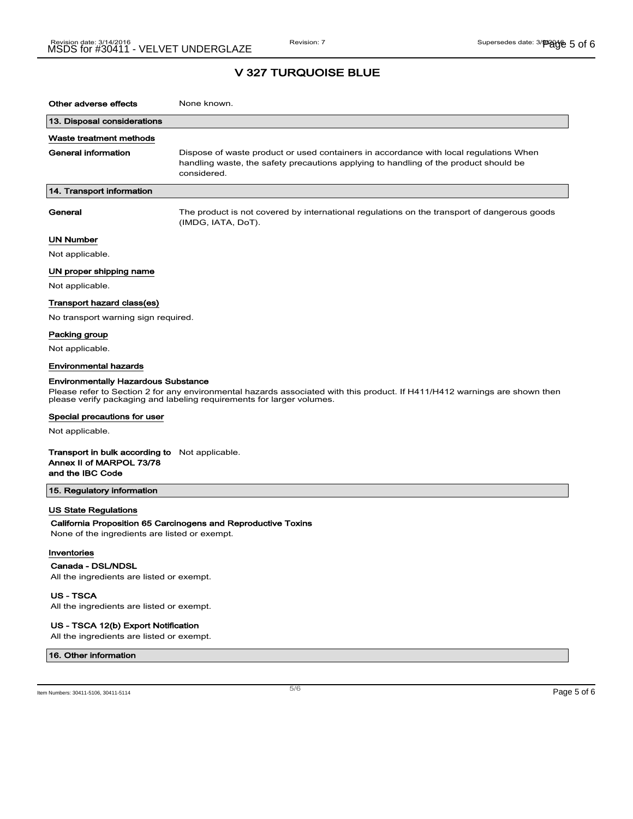| Other adverse effects                                                                                                                                                                                                                             | None known.                                                                                                                                                                                  |  |  |
|---------------------------------------------------------------------------------------------------------------------------------------------------------------------------------------------------------------------------------------------------|----------------------------------------------------------------------------------------------------------------------------------------------------------------------------------------------|--|--|
| 13. Disposal considerations                                                                                                                                                                                                                       |                                                                                                                                                                                              |  |  |
| Waste treatment methods                                                                                                                                                                                                                           |                                                                                                                                                                                              |  |  |
| General information                                                                                                                                                                                                                               | Dispose of waste product or used containers in accordance with local regulations When<br>handling waste, the safety precautions applying to handling of the product should be<br>considered. |  |  |
| 14. Transport information                                                                                                                                                                                                                         |                                                                                                                                                                                              |  |  |
| General                                                                                                                                                                                                                                           | The product is not covered by international regulations on the transport of dangerous goods<br>(IMDG, IATA, DoT).                                                                            |  |  |
| <b>UN Number</b>                                                                                                                                                                                                                                  |                                                                                                                                                                                              |  |  |
| Not applicable.                                                                                                                                                                                                                                   |                                                                                                                                                                                              |  |  |
| UN proper shipping name                                                                                                                                                                                                                           |                                                                                                                                                                                              |  |  |
| Not applicable.                                                                                                                                                                                                                                   |                                                                                                                                                                                              |  |  |
| Transport hazard class(es)                                                                                                                                                                                                                        |                                                                                                                                                                                              |  |  |
| No transport warning sign required.                                                                                                                                                                                                               |                                                                                                                                                                                              |  |  |
| Packing group                                                                                                                                                                                                                                     |                                                                                                                                                                                              |  |  |
| Not applicable.                                                                                                                                                                                                                                   |                                                                                                                                                                                              |  |  |
| <b>Environmental hazards</b>                                                                                                                                                                                                                      |                                                                                                                                                                                              |  |  |
| <b>Environmentally Hazardous Substance</b><br>Please refer to Section 2 for any environmental hazards associated with this product. If H411/H412 warnings are shown then<br>please verify packaging and labeling requirements for larger volumes. |                                                                                                                                                                                              |  |  |
| Special precautions for user                                                                                                                                                                                                                      |                                                                                                                                                                                              |  |  |
| Not applicable.                                                                                                                                                                                                                                   |                                                                                                                                                                                              |  |  |
| <b>Transport in bulk according to</b> Not applicable.<br>Annex II of MARPOL 73/78<br>and the IBC Code                                                                                                                                             |                                                                                                                                                                                              |  |  |
| 15. Regulatory information                                                                                                                                                                                                                        |                                                                                                                                                                                              |  |  |
| <b>US State Regulations</b><br>None of the ingredients are listed or exempt.                                                                                                                                                                      | California Proposition 65 Carcinogens and Reproductive Toxins                                                                                                                                |  |  |
| Inventories<br>Canada - DSL/NDSL<br>All the ingredients are listed or exempt.                                                                                                                                                                     |                                                                                                                                                                                              |  |  |
| <b>US-TSCA</b>                                                                                                                                                                                                                                    |                                                                                                                                                                                              |  |  |

All the ingredients are listed or exempt.

#### US - TSCA 12(b) Export Notification

All the ingredients are listed or exempt.

#### 16. Other information